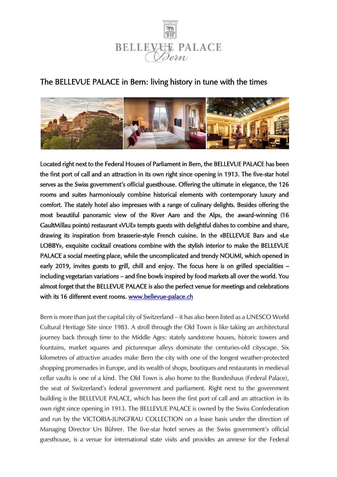

# The BELLEVUE PALACE in Bern: living history in tune with the times



Located right next to the Federal Houses of Parliament in Bern, the BELLEVUE PALACE has been the first port of call and an attraction in its own right since opening in 1913. The five-star hotel serves as the Swiss government's official guesthouse. Offering the ultimate in elegance, the 126 rooms and suites harmoniously combine historical elements with contemporary luxury and comfort. The stately hotel also impresses with a range of culinary delights. Besides offering the most beautiful panoramic view of the River Aare and the Alps, the award-winning (16 GaultMillau points) restaurant «VUE» tempts guests with delightful dishes to combine and share, drawing its inspiration from brasserie-style French cuisine. In the «BELLEVUE Bar» and «Le LOBBY», exquisite cocktail creations combine with the stylish interior to make the BELLEVUE PALACE a social meeting place, while the uncomplicated and trendy NOUMI, which opened in early 2019, invites guests to grill, chill and enjoy. The focus here is on grilled specialities – including vegetarian variations – and fine bowls inspired by food markets all over the world. You almost forget that the BELLEVUE PALACE is also the perfect venue for meetings and celebrations with its 16 different event rooms. [www.bellevue-palace.ch](https://www.bellevue-palace.ch/en) 

Bern is more than just the capital city of Switzerland – it has also been listed as a UNESCO World Cultural Heritage Site since 1983. A stroll through the Old Town is like taking an architectural journey back through time to the Middle Ages: stately sandstone houses, historic towers and fountains, market squares and picturesque alleys dominate the centuries-old cityscape. Six kilometres of attractive arcades make Bern the city with one of the longest weather-protected shopping promenades in Europe, and its wealth of shops, boutiques and restaurants in medieval cellar vaults is one of a kind. The Old Town is also home to the Bundeshaus (Federal Palace), the seat of Switzerland's federal government and parliament. Right next to the government building is the BELLEVUE PALACE, which has been the first port of call and an attraction in its own right since opening in 1913. The BELLEVUE PALACE is owned by the Swiss Confederation and run by the VICTORIA-JUNGFRAU COLLECTION on a lease basis under the direction of Managing Director Urs Bührer. The five-star hotel serves as the Swiss government's official guesthouse, is a venue for international state visits and provides an annexe for the Federal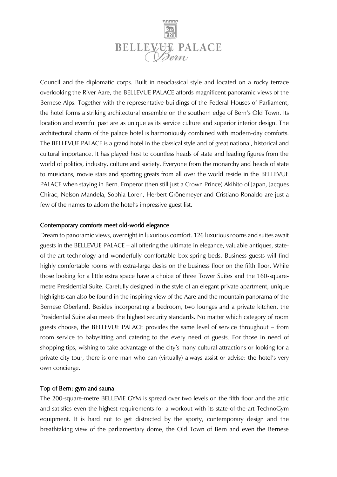

Council and the diplomatic corps. Built in neoclassical style and located on a rocky terrace overlooking the River Aare, the BELLEVUE PALACE affords magnificent panoramic views of the Bernese Alps. Together with the representative buildings of the Federal Houses of Parliament, the hotel forms a striking architectural ensemble on the southern edge of Bern's Old Town. Its location and eventful past are as unique as its service culture and superior interior design. The architectural charm of the palace hotel is harmoniously combined with modern-day comforts. The BELLEVUE PALACE is a grand hotel in the classical style and of great national, historical and cultural importance. It has played host to countless heads of state and leading figures from the world of politics, industry, culture and society. Everyone from the monarchy and heads of state to musicians, movie stars and sporting greats from all over the world reside in the BELLEVUE PALACE when staying in Bern. Emperor (then still just a Crown Prince) Akihito of Japan, Jacques Chirac, Nelson Mandela, Sophia Loren, Herbert Grönemeyer and Cristiano Ronaldo are just a few of the names to adorn the hotel's impressive guest list.

### Contemporary comforts meet old-world elegance

Dream to panoramic views, overnight in luxurious comfort. 126 luxurious rooms and suites await guests in the BELLEVUE PALACE – all offering the ultimate in elegance, valuable antiques, stateof-the-art technology and wonderfully comfortable box-spring beds. Business guests will find highly comfortable rooms with extra-large desks on the business floor on the fifth floor. While those looking for a little extra space have a choice of three Tower Suites and the 160-squaremetre Presidential Suite. Carefully designed in the style of an elegant private apartment, unique highlights can also be found in the inspiring view of the Aare and the mountain panorama of the Bernese Oberland. Besides incorporating a bedroom, two lounges and a private kitchen, the Presidential Suite also meets the highest security standards. No matter which category of room guests choose, the BELLEVUE PALACE provides the same level of service throughout – from room service to babysitting and catering to the every need of guests. For those in need of shopping tips, wishing to take advantage of the city's many cultural attractions or looking for a private city tour, there is one man who can (virtually) always assist or advise: the hotel's very own concierge.

### Top of Bern: gym and sauna

The 200-square-metre BELLEViE GYM is spread over two levels on the fifth floor and the attic and satisfies even the highest requirements for a workout with its state-of-the-art TechnoGym equipment. It is hard not to get distracted by the sporty, contemporary design and the breathtaking view of the parliamentary dome, the Old Town of Bern and even the Bernese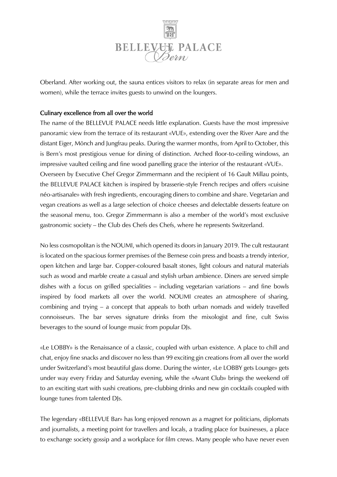

Oberland. After working out, the sauna entices visitors to relax (in separate areas for men and women), while the terrace invites guests to unwind on the loungers.

## Culinary excellence from all over the world

The name of the BELLEVUE PALACE needs little explanation. Guests have the most impressive panoramic view from the terrace of its restaurant «VUE», extending over the River Aare and the distant Eiger, Mönch and Jungfrau peaks. During the warmer months, from April to October, this is Bern's most prestigious venue for dining of distinction. Arched floor-to-ceiling windows, an impressive vaulted ceiling and fine wood panelling grace the interior of the restaurant «VUE». Overseen by Executive Chef Gregor Zimmermann and the recipient of 16 Gault Millau points, the BELLEVUE PALACE kitchen is inspired by brasserie-style French recipes and offers «cuisine néo-artisanale» with fresh ingredients, encouraging diners to combine and share. Vegetarian and vegan creations as well as a large selection of choice cheeses and delectable desserts feature on the seasonal menu, too. Gregor Zimmermann is also a member of the world's most exclusive gastronomic society – the Club des Chefs des Chefs, where he represents Switzerland.

No less cosmopolitan is the NOUMI, which opened its doors in January 2019. The cult restaurant is located on the spacious former premises of the Bernese coin press and boasts a trendy interior, open kitchen and large bar. Copper-coloured basalt stones, light colours and natural materials such as wood and marble create a casual and stylish urban ambience. Diners are served simple dishes with a focus on grilled specialities – including vegetarian variations – and fine bowls inspired by food markets all over the world. NOUMI creates an atmosphere of sharing, combining and trying – a concept that appeals to both urban nomads and widely travelled connoisseurs. The bar serves signature drinks from the mixologist and fine, cult Swiss beverages to the sound of lounge music from popular DJs.

«Le LOBBY» is the Renaissance of a classic, coupled with urban existence. A place to chill and chat, enjoy fine snacks and discover no less than 99 exciting gin creations from all over the world under Switzerland's most beautiful glass dome. During the winter, «Le LOBBY gets Lounge» gets under way every Friday and Saturday evening, while the «Avant Club» brings the weekend off to an exciting start with sushi creations, pre-clubbing drinks and new gin cocktails coupled with lounge tunes from talented DJs.

The legendary «BELLEVUE Bar» has long enjoyed renown as a magnet for politicians, diplomats and journalists, a meeting point for travellers and locals, a trading place for businesses, a place to exchange society gossip and a workplace for film crews. Many people who have never even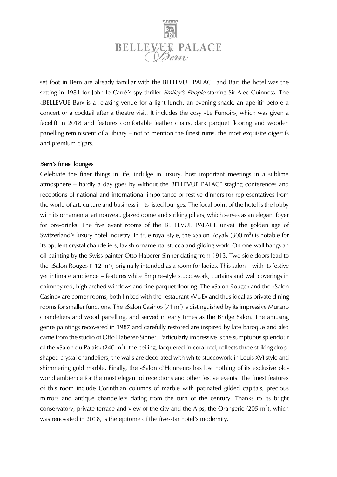

set foot in Bern are already familiar with the BELLEVUE PALACE and Bar: the hotel was the setting in 1981 for John le Carré's spy thriller *Smiley's People* starring Sir Alec Guinness. The «BELLEVUE Bar» is a relaxing venue for a light lunch, an evening snack, an aperitif before a concert or a cocktail after a theatre visit. It includes the cosy «Le Fumoir», which was given a facelift in 2018 and features comfortable leather chairs, dark parquet flooring and wooden panelling reminiscent of a library – not to mention the finest rums, the most exquisite digestifs and premium cigars.

#### Bern's finest lounges

Celebrate the finer things in life, indulge in luxury, host important meetings in a sublime atmosphere – hardly a day goes by without the BELLEVUE PALACE staging conferences and receptions of national and international importance or festive dinners for representatives from the world of art, culture and business in its listed lounges. The focal point of the hotel is the lobby with its ornamental art nouveau glazed dome and striking pillars, which serves as an elegant foyer for pre-drinks. The five event rooms of the BELLEVUE PALACE unveil the golden age of Switzerland's luxury hotel industry. In true royal style, the «Salon Royal» (300 m<sup>2</sup>) is notable for its opulent crystal chandeliers, lavish ornamental stucco and gilding work. On one wall hangs an oil painting by the Swiss painter Otto Haberer-Sinner dating from 1913. Two side doors lead to the «Salon Rouge» (112 m<sup>2</sup>), originally intended as a room for ladies. This salon – with its festive yet intimate ambience – features white Empire-style stuccowork, curtains and wall coverings in chimney red, high arched windows and fine parquet flooring. The «Salon Rouge» and the «Salon Casino» are corner rooms, both linked with the restaurant «VUE» and thus ideal as private dining rooms for smaller functions. The «Salon Casino» (71 m<sup>2</sup>) is distinguished by its impressive Murano chandeliers and wood panelling, and served in early times as the Bridge Salon. The amusing genre paintings recovered in 1987 and carefully restored are inspired by late baroque and also came from the studio of Otto Haberer-Sinner. Particularly impressive is the sumptuous splendour of the «Salon du Palais» (240 m<sup>2</sup>): the ceiling, lacquered in coral red, reflects three striking dropshaped crystal chandeliers; the walls are decorated with white stuccowork in Louis XVI style and shimmering gold marble. Finally, the «Salon d'Honneur» has lost nothing of its exclusive oldworld ambience for the most elegant of receptions and other festive events. The finest features of this room include Corinthian columns of marble with patinated gilded capitals, precious mirrors and antique chandeliers dating from the turn of the century. Thanks to its bright conservatory, private terrace and view of the city and the Alps, the Orangerie (205 m<sup>2</sup>), which was renovated in 2018, is the epitome of the five-star hotel's modernity.